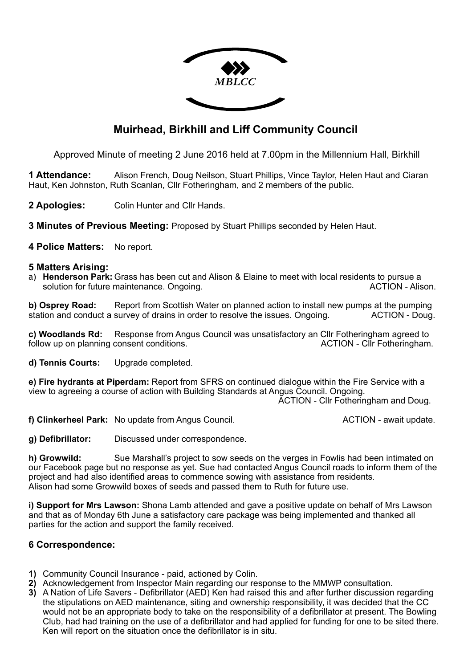

## **Muirhead, Birkhill and Liff Community Council**

Approved Minute of meeting 2 June 2016 held at 7.00pm in the Millennium Hall, Birkhill

**1 Attendance:** Alison French, Doug Neilson, Stuart Phillips, Vince Taylor, Helen Haut and Ciaran Haut, Ken Johnston, Ruth Scanlan, Cllr Fotheringham, and 2 members of the public.

**2 Apologies:** Colin Hunter and Cllr Hands.

**3 Minutes of Previous Meeting:** Proposed by Stuart Phillips seconded by Helen Haut.

**4 Police Matters:** No report.

## **5 Matters Arising:**

a) **Henderson Park:** Grass has been cut and Alison & Elaine to meet with local residents to pursue a solution for future maintenance. Ongoing. The solution of the ACTION - Alison.

**b) Osprey Road:** Report from Scottish Water on planned action to install new pumps at the pumping station and conduct a survey of drains in order to resolve the issues. Ongoing. ACTION - Doug.

**c) Woodlands Rd:** Response from Angus Council was unsatisfactory an Cllr Fotheringham agreed to follow up on planning consent conditions. The same state of the extra ACTION - Clir Fotheringham.

**d) Tennis Courts:** Upgrade completed.

**e) Fire hydrants at Piperdam:** Report from SFRS on continued dialogue within the Fire Service with a view to agreeing a course of action with Building Standards at Angus Council. Ongoing.

ACTION - Cllr Fotheringham and Doug.

**f) Clinkerheel Park:** No update from Angus Council. **ACTION** - await update.

**g) Defibrillator:** Discussed under correspondence.

**h) Growwild:** Sue Marshall's project to sow seeds on the verges in Fowlis had been intimated on our Facebook page but no response as yet. Sue had contacted Angus Council roads to inform them of the project and had also identified areas to commence sowing with assistance from residents. Alison had some Growwild boxes of seeds and passed them to Ruth for future use.

**i) Support for Mrs Lawson:** Shona Lamb attended and gave a positive update on behalf of Mrs Lawson and that as of Monday 6th June a satisfactory care package was being implemented and thanked all parties for the action and support the family received.

## **6 Correspondence:**

- **1)** Community Council Insurance paid, actioned by Colin.
- **2)** Acknowledgement from Inspector Main regarding our response to the MMWP consultation.
- **3)** A Nation of Life Savers Defibrillator (AED) Ken had raised this and after further discussion regarding the stipulations on AED maintenance, siting and ownership responsibility, it was decided that the CC would not be an appropriate body to take on the responsibility of a defibrillator at present. The Bowling Club, had had training on the use of a defibrillator and had applied for funding for one to be sited there. Ken will report on the situation once the defibrillator is in situ.